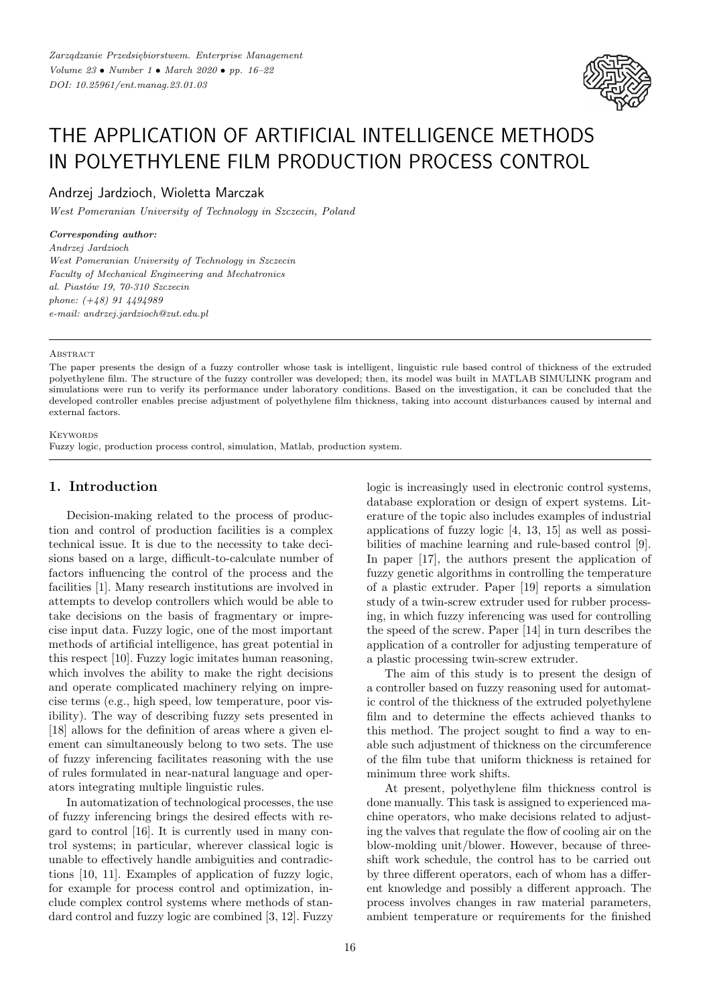

# THE APPLICATION OF ARTIFICIAL INTELLIGENCE METHODS IN POLYETHYLENE FILM PRODUCTION PROCESS CONTROL

Andrzej Jardzioch, Wioletta Marczak

*West Pomeranian University of Technology in Szczecin, Poland*

*Corresponding author:*

*Andrzej Jardzioch West Pomeranian University of Technology in Szczecin Faculty of Mechanical Engineering and Mechatronics al. Piastów 19, 70-310 Szczecin phone: (+48) 91 4494989 e-mail: andrzej.jardzioch@zut.edu.pl*

A BSTRACT

The paper presents the design of a fuzzy controller whose task is intelligent, linguistic rule based control of thickness of the extruded polyethylene film. The structure of the fuzzy controller was developed; then, its model was built in MATLAB SIMULINK program and simulations were run to verify its performance under laboratory conditions. Based on the investigation, it can be concluded that the developed controller enables precise adjustment of polyethylene film thickness, taking into account disturbances caused by internal and external factors.

**KEYWORDS** 

Fuzzy logic, production process control, simulation, Matlab, production system.

## **1. Introduction**

Decision-making related to the process of production and control of production facilities is a complex technical issue. It is due to the necessity to take decisions based on a large, difficult-to-calculate number of factors influencing the control of the process and the facilities [1]. Many research institutions are involved in attempts to develop controllers which would be able to take decisions on the basis of fragmentary or imprecise input data. Fuzzy logic, one of the most important methods of artificial intelligence, has great potential in this respect [10]. Fuzzy logic imitates human reasoning, which involves the ability to make the right decisions and operate complicated machinery relying on imprecise terms (e.g., high speed, low temperature, poor visibility). The way of describing fuzzy sets presented in [18] allows for the definition of areas where a given element can simultaneously belong to two sets. The use of fuzzy inferencing facilitates reasoning with the use of rules formulated in near-natural language and operators integrating multiple linguistic rules.

In automatization of technological processes, the use of fuzzy inferencing brings the desired effects with regard to control [16]. It is currently used in many control systems; in particular, wherever classical logic is unable to effectively handle ambiguities and contradictions [10, 11]. Examples of application of fuzzy logic, for example for process control and optimization, include complex control systems where methods of standard control and fuzzy logic are combined [3, 12]. Fuzzy logic is increasingly used in electronic control systems, database exploration or design of expert systems. Literature of the topic also includes examples of industrial applications of fuzzy logic [4, 13, 15] as well as possibilities of machine learning and rule-based control [9]. In paper [17], the authors present the application of fuzzy genetic algorithms in controlling the temperature of a plastic extruder. Paper [19] reports a simulation study of a twin-screw extruder used for rubber processing, in which fuzzy inferencing was used for controlling the speed of the screw. Paper [14] in turn describes the application of a controller for adjusting temperature of a plastic processing twin-screw extruder.

The aim of this study is to present the design of a controller based on fuzzy reasoning used for automatic control of the thickness of the extruded polyethylene film and to determine the effects achieved thanks to this method. The project sought to find a way to enable such adjustment of thickness on the circumference of the film tube that uniform thickness is retained for minimum three work shifts.

At present, polyethylene film thickness control is done manually. This task is assigned to experienced machine operators, who make decisions related to adjusting the valves that regulate the flow of cooling air on the blow-molding unit/blower. However, because of threeshift work schedule, the control has to be carried out by three different operators, each of whom has a different knowledge and possibly a different approach. The process involves changes in raw material parameters, ambient temperature or requirements for the finished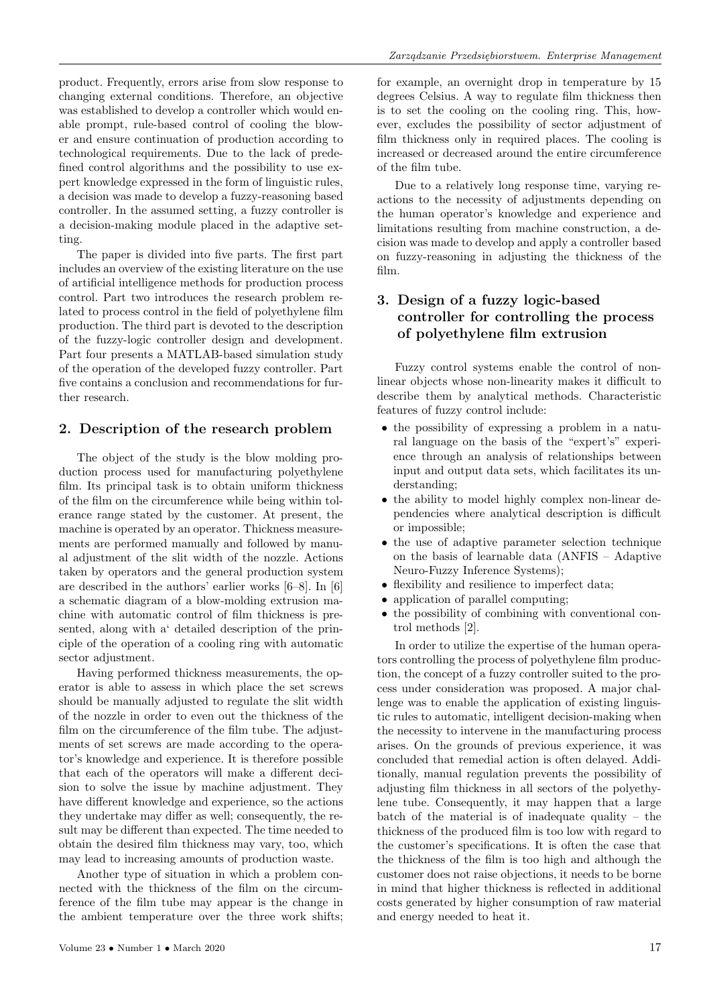product. Frequently, errors arise from slow response to changing external conditions. Therefore, an objective was established to develop a controller which would enable prompt, rule-based control of cooling the blower and ensure continuation of production according to technological requirements. Due to the lack of predefined control algorithms and the possibility to use expert knowledge expressed in the form of linguistic rules, a decision was made to develop a fuzzy-reasoning based controller. In the assumed setting, a fuzzy controller is a decision-making module placed in the adaptive setting.

The paper is divided into five parts. The first part includes an overview of the existing literature on the use of artificial intelligence methods for production process control. Part two introduces the research problem related to process control in the field of polyethylene film production. The third part is devoted to the description of the fuzzy-logic controller design and development. Part four presents a MATLAB-based simulation study of the operation of the developed fuzzy controller. Part five contains a conclusion and recommendations for further research.

### **2. Description of the research problem**

The object of the study is the blow molding production process used for manufacturing polyethylene film. Its principal task is to obtain uniform thickness of the film on the circumference while being within tolerance range stated by the customer. At present, the machine is operated by an operator. Thickness measurements are performed manually and followed by manual adjustment of the slit width of the nozzle. Actions taken by operators and the general production system are described in the authors' earlier works [6–8]. In [6] a schematic diagram of a blow-molding extrusion machine with automatic control of film thickness is presented, along with a' detailed description of the principle of the operation of a cooling ring with automatic sector adjustment.

Having performed thickness measurements, the operator is able to assess in which place the set screws should be manually adjusted to regulate the slit width of the nozzle in order to even out the thickness of the film on the circumference of the film tube. The adjustments of set screws are made according to the operator's knowledge and experience. It is therefore possible that each of the operators will make a different decision to solve the issue by machine adjustment. They have different knowledge and experience, so the actions they undertake may differ as well; consequently, the result may be different than expected. The time needed to obtain the desired film thickness may vary, too, which may lead to increasing amounts of production waste.

Another type of situation in which a problem connected with the thickness of the film on the circumference of the film tube may appear is the change in the ambient temperature over the three work shifts; for example, an overnight drop in temperature by 15 degrees Celsius. A way to regulate film thickness then is to set the cooling on the cooling ring. This, however, excludes the possibility of sector adjustment of film thickness only in required places. The cooling is increased or decreased around the entire circumference of the film tube.

Due to a relatively long response time, varying reactions to the necessity of adjustments depending on the human operator's knowledge and experience and limitations resulting from machine construction, a decision was made to develop and apply a controller based on fuzzy-reasoning in adjusting the thickness of the film.

# **3. Design of a fuzzy logic-based controller for controlling the process of polyethylene film extrusion**

Fuzzy control systems enable the control of nonlinear objects whose non-linearity makes it difficult to describe them by analytical methods. Characteristic features of fuzzy control include:

- the possibility of expressing a problem in a natural language on the basis of the "expert's" experience through an analysis of relationships between input and output data sets, which facilitates its understanding;
- the ability to model highly complex non-linear dependencies where analytical description is difficult or impossible;
- the use of adaptive parameter selection technique on the basis of learnable data (ANFIS – Adaptive Neuro-Fuzzy Inference Systems);
- flexibility and resilience to imperfect data;
- application of parallel computing;
- the possibility of combining with conventional control methods [2].

In order to utilize the expertise of the human operators controlling the process of polyethylene film production, the concept of a fuzzy controller suited to the process under consideration was proposed. A major challenge was to enable the application of existing linguistic rules to automatic, intelligent decision-making when the necessity to intervene in the manufacturing process arises. On the grounds of previous experience, it was concluded that remedial action is often delayed. Additionally, manual regulation prevents the possibility of adjusting film thickness in all sectors of the polyethylene tube. Consequently, it may happen that a large batch of the material is of inadequate quality  $-$  the thickness of the produced film is too low with regard to the customer's specifications. It is often the case that the thickness of the film is too high and although the customer does not raise objections, it needs to be borne in mind that higher thickness is reflected in additional costs generated by higher consumption of raw material and energy needed to heat it.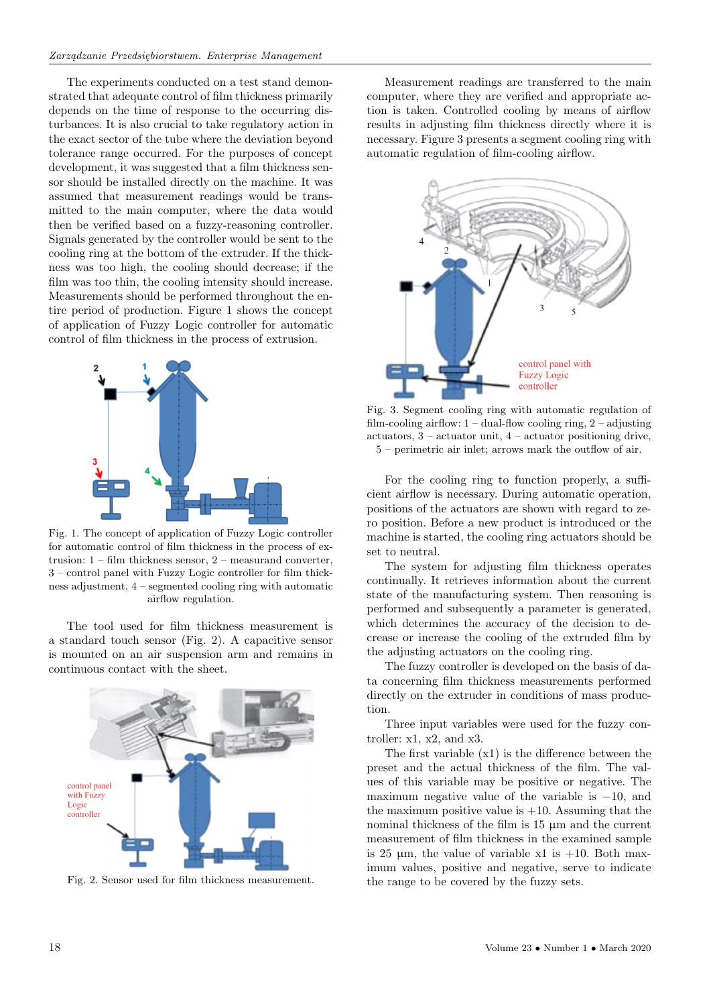The experiments conducted on a test stand demonstrated that adequate control of film thickness primarily depends on the time of response to the occurring disturbances. It is also crucial to take regulatory action in the exact sector of the tube where the deviation beyond tolerance range occurred. For the purposes of concept development, it was suggested that a film thickness sensor should be installed directly on the machine. It was assumed that measurement readings would be transmitted to the main computer, where the data would then be verified based on a fuzzy-reasoning controller. Signals generated by the controller would be sent to the cooling ring at the bottom of the extruder. If the thickness was too high, the cooling should decrease; if the film was too thin, the cooling intensity should increase. Measurements should be performed throughout the entire period of production. Figure 1 shows the concept of application of Fuzzy Logic controller for automatic control of film thickness in the process of extrusion.



Fig. 1. The concept of application of Fuzzy Logic controller for automatic control of film thickness in the process of extrusion: 1 – film thickness sensor, 2 – measurand converter, 3 – control panel with Fuzzy Logic controller for film thickness adjustment, 4 – segmented cooling ring with automatic airflow regulation.

The tool used for film thickness measurement is a standard touch sensor (Fig. 2). A capacitive sensor is mounted on an air suspension arm and remains in continuous contact with the sheet.



Fig. 2. Sensor used for film thickness measurement.

Measurement readings are transferred to the main computer, where they are verified and appropriate action is taken. Controlled cooling by means of airflow results in adjusting film thickness directly where it is necessary. Figure 3 presents a segment cooling ring with automatic regulation of film-cooling airflow.



Fig. 3. Segment cooling ring with automatic regulation of film-cooling airflow:  $1 -$  dual-flow cooling ring,  $2 -$  adjusting actuators,  $3$  – actuator unit,  $4$  – actuator positioning drive, 5 – perimetric air inlet; arrows mark the outflow of air.

For the cooling ring to function properly, a sufficient airflow is necessary. During automatic operation, positions of the actuators are shown with regard to zero position. Before a new product is introduced or the machine is started, the cooling ring actuators should be set to neutral.

The system for adjusting film thickness operates continually. It retrieves information about the current state of the manufacturing system. Then reasoning is performed and subsequently a parameter is generated, which determines the accuracy of the decision to decrease or increase the cooling of the extruded film by the adjusting actuators on the cooling ring.

The fuzzy controller is developed on the basis of data concerning film thickness measurements performed directly on the extruder in conditions of mass production.

Three input variables were used for the fuzzy controller: x1, x2, and x3.

The first variable (x1) is the difference between the preset and the actual thickness of the film. The values of this variable may be positive or negative. The maximum negative value of the variable is  $-10$ , and the maximum positive value is  $+10$ . Assuming that the nominal thickness of the film is  $15 \mu m$  and the current measurement of film thickness in the examined sample is 25  $\mu$ m, the value of variable x1 is +10. Both maximum values, positive and negative, serve to indicate the range to be covered by the fuzzy sets.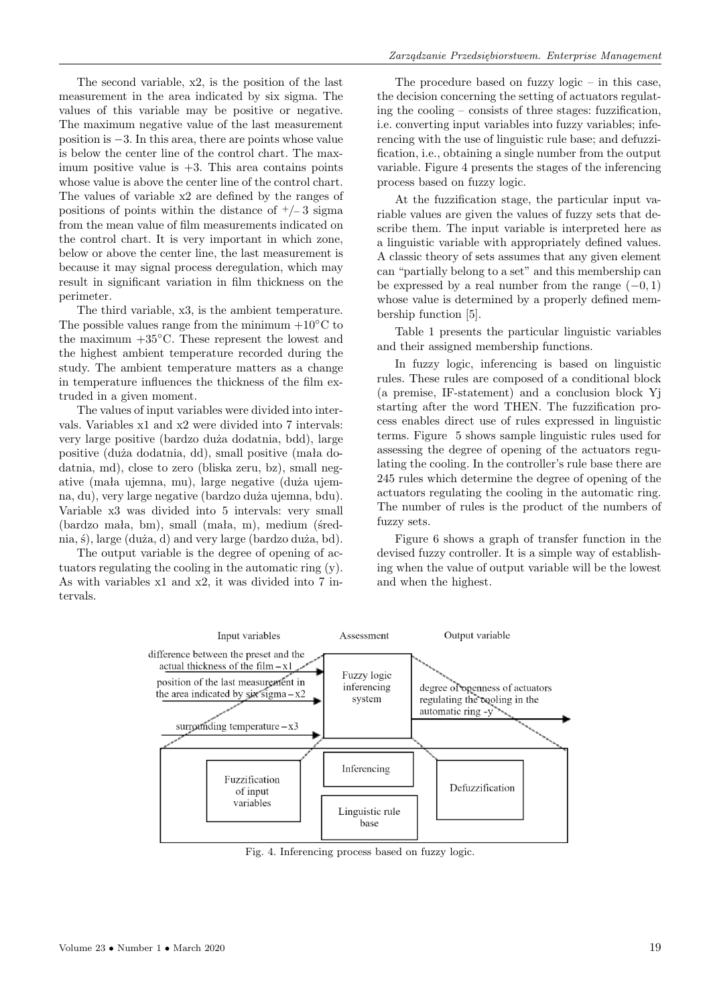The second variable, x2, is the position of the last measurement in the area indicated by six sigma. The values of this variable may be positive or negative. The maximum negative value of the last measurement position is −3. In this area, there are points whose value is below the center line of the control chart. The maximum positive value is  $+3$ . This area contains points whose value is above the center line of the control chart. The values of variable x2 are defined by the ranges of positions of points within the distance of  $\pm/-3$  sigma from the mean value of film measurements indicated on the control chart. It is very important in which zone, below or above the center line, the last measurement is because it may signal process deregulation, which may result in significant variation in film thickness on the perimeter.

The third variable, x3, is the ambient temperature. The possible values range from the minimum  $+10°C$  to the maximum  $+35^{\circ}$ C. These represent the lowest and the highest ambient temperature recorded during the study. The ambient temperature matters as a change in temperature influences the thickness of the film extruded in a given moment.

The values of input variables were divided into intervals. Variables x1 and x2 were divided into 7 intervals: very large positive (bardzo duża dodatnia, bdd), large positive (duża dodatnia, dd), small positive (mała dodatnia, md), close to zero (bliska zeru, bz), small negative (mała ujemna, mu), large negative (duża ujemna, du), very large negative (bardzo duża ujemna, bdu). Variable x3 was divided into 5 intervals: very small (bardzo mała, bm), small (mała, m), medium (średnia, ś), large (duża, d) and very large (bardzo duża, bd).

The output variable is the degree of opening of actuators regulating the cooling in the automatic ring (y). As with variables x1 and x2, it was divided into 7 intervals.

The procedure based on fuzzy  $logic - in$  this case, the decision concerning the setting of actuators regulating the cooling – consists of three stages: fuzzification, i.e. converting input variables into fuzzy variables; inferencing with the use of linguistic rule base; and defuzzification, i.e., obtaining a single number from the output variable. Figure 4 presents the stages of the inferencing process based on fuzzy logic.

At the fuzzification stage, the particular input variable values are given the values of fuzzy sets that describe them. The input variable is interpreted here as a linguistic variable with appropriately defined values. A classic theory of sets assumes that any given element can "partially belong to a set" and this membership can be expressed by a real number from the range  $(-0, 1)$ whose value is determined by a properly defined membership function [5].

Table 1 presents the particular linguistic variables and their assigned membership functions.

In fuzzy logic, inferencing is based on linguistic rules. These rules are composed of a conditional block (a premise, IF-statement) and a conclusion block Yj starting after the word THEN. The fuzzification process enables direct use of rules expressed in linguistic terms. Figure 5 shows sample linguistic rules used for assessing the degree of opening of the actuators regulating the cooling. In the controller's rule base there are 245 rules which determine the degree of opening of the actuators regulating the cooling in the automatic ring. The number of rules is the product of the numbers of fuzzy sets.

Figure 6 shows a graph of transfer function in the devised fuzzy controller. It is a simple way of establishing when the value of output variable will be the lowest and when the highest.



Fig. 4. Inferencing process based on fuzzy logic.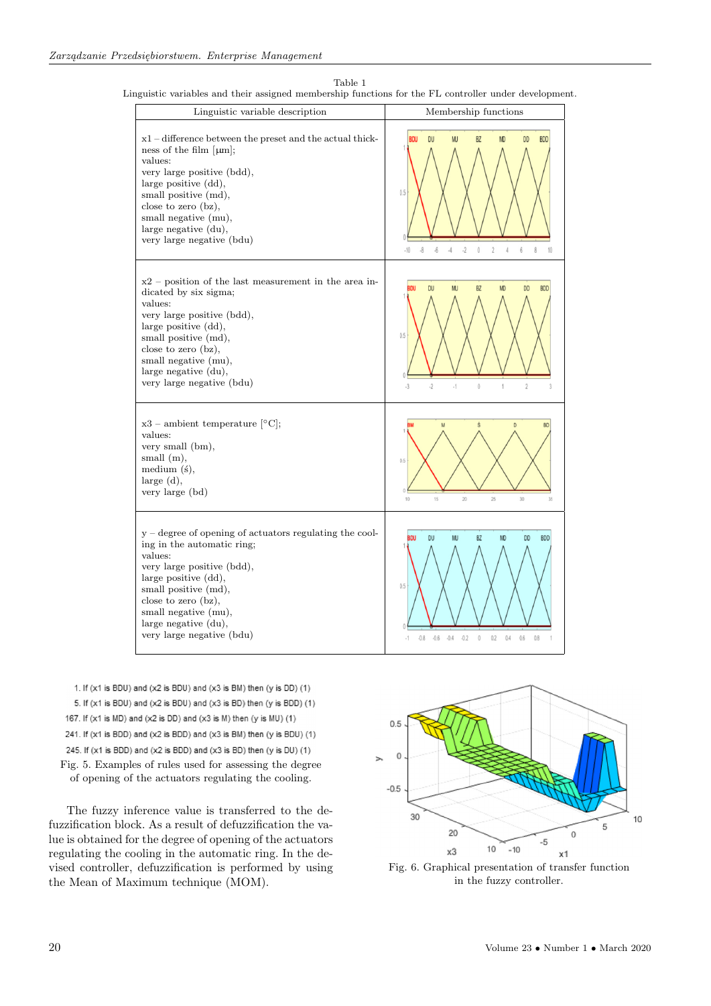Table 1

Linguistic variables and their assigned membership functions for the FL controller under development.

| Linguistic variable description                                                                                                                                                                                                                                                         | Membership functions                                                                                                                                                                 |  |
|-----------------------------------------------------------------------------------------------------------------------------------------------------------------------------------------------------------------------------------------------------------------------------------------|--------------------------------------------------------------------------------------------------------------------------------------------------------------------------------------|--|
| $x1$ – difference between the preset and the actual thick-<br>ness of the film $[\mu m]$ ;<br>values:<br>very large positive (bdd),<br>large positive (dd),<br>small positive (md),<br>close to zero (bz),<br>small negative (mu),<br>large negative (du),<br>very large negative (bdu) | <b>BDU</b><br>DU<br><b>BDD</b><br>мı<br>BZ<br>DD<br>۱n<br>0.5<br>$\overline{2}$<br>.10<br>$\cdot 8$<br>$\cdot 6$<br>$\cdot$ 4<br>$\cdot$ 2<br>$\theta$<br>6<br>8<br>$\sqrt{4}$<br>10 |  |
| $x2$ – position of the last measurement in the area in-<br>dicated by six sigma;<br>values:<br>very large positive (bdd),<br>large positive (dd),<br>small positive (md),<br>close to zero (bz),<br>small negative (mu),<br>large negative (du),<br>very large negative (bdu)           | <b>BZ</b><br>DU<br><b>MJ</b><br><b>MD</b><br><b>DD</b><br><b>BDD</b><br>0.5<br>$\cdot$ 2<br>$\cdot$ 1<br>$\theta$<br>$\overline{2}$<br>$\cdot$ 3<br>$\overline{1}$                   |  |
| $x3$ – ambient temperature [ $°C$ ];<br>values:<br>very small (bm),<br>small (m),<br>medium (ś),<br>large (d),<br>very large (bd)                                                                                                                                                       | ś<br>D<br><b>BD</b><br>0.5<br>10<br>15<br>20<br>25<br>30<br>35                                                                                                                       |  |
| $y$ – degree of opening of actuators regulating the cool-<br>ing in the automatic ring;<br>values:<br>very large positive (bdd),<br>large positive (dd),<br>small positive (md),<br>close to zero (bz),<br>small negative (mu),<br>large negative (du),<br>very large negative (bdu)    | <b>DU</b><br><b>MJ</b><br>BZ<br><b>DD</b><br><b>BDD</b><br>3DU<br><b>MD</b><br>0.5<br>$-0.2$<br>$\mathbf{0}$<br>$-0.8$<br>$-0.6$<br>$-0.4$<br>0.2<br>0.4<br>0.6<br>0.8               |  |

- 1. If (x1 is BDU) and (x2 is BDU) and (x3 is BM) then (y is DD) (1) 5. If (x1 is BDU) and (x2 is BDU) and (x3 is BD) then (y is BDD) (1) 167. If (x1 is MD) and (x2 is DD) and (x3 is M) then (y is MU) (1) 241. If (x1 is BDD) and (x2 is BDD) and (x3 is BM) then (y is BDU) (1) 245. If (x1 is BDD) and (x2 is BDD) and (x3 is BD) then (y is DU) (1)
- Fig. 5. Examples of rules used for assessing the degree of opening of the actuators regulating the cooling.

The fuzzy inference value is transferred to the defuzzification block. As a result of defuzzification the value is obtained for the degree of opening of the actuators regulating the cooling in the automatic ring. In the devised controller, defuzzification is performed by using the Mean of Maximum technique (MOM).



Fig. 6. Graphical presentation of transfer function in the fuzzy controller.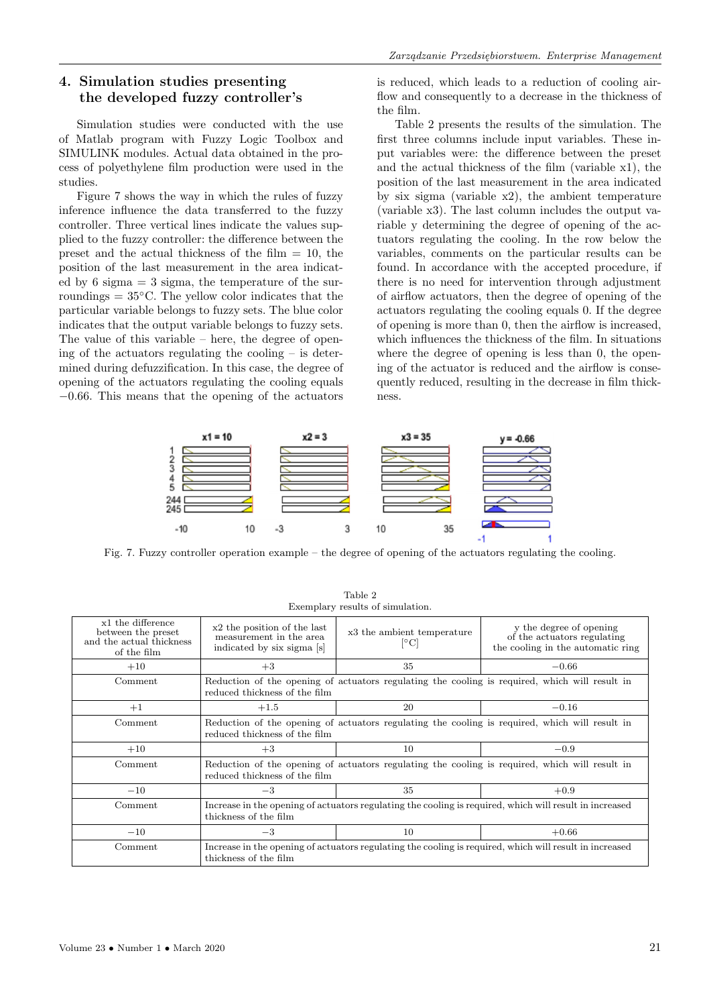## **4. Simulation studies presenting the developed fuzzy controller's**

Simulation studies were conducted with the use of Matlab program with Fuzzy Logic Toolbox and SIMULINK modules. Actual data obtained in the process of polyethylene film production were used in the studies.

Figure 7 shows the way in which the rules of fuzzy inference influence the data transferred to the fuzzy controller. Three vertical lines indicate the values supplied to the fuzzy controller: the difference between the preset and the actual thickness of the film  $= 10$ , the position of the last measurement in the area indicated by 6 sigma  $=$  3 sigma, the temperature of the surroundings  $= 35^{\circ}$ C. The yellow color indicates that the particular variable belongs to fuzzy sets. The blue color indicates that the output variable belongs to fuzzy sets. The value of this variable – here, the degree of opening of the actuators regulating the cooling  $-$  is determined during defuzzification. In this case, the degree of opening of the actuators regulating the cooling equals −0.66. This means that the opening of the actuators is reduced, which leads to a reduction of cooling airflow and consequently to a decrease in the thickness of the film.

Table 2 presents the results of the simulation. The first three columns include input variables. These input variables were: the difference between the preset and the actual thickness of the film (variable x1), the position of the last measurement in the area indicated by six sigma (variable x2), the ambient temperature (variable x3). The last column includes the output variable y determining the degree of opening of the actuators regulating the cooling. In the row below the variables, comments on the particular results can be found. In accordance with the accepted procedure, if there is no need for intervention through adjustment of airflow actuators, then the degree of opening of the actuators regulating the cooling equals 0. If the degree of opening is more than 0, then the airflow is increased, which influences the thickness of the film. In situations where the degree of opening is less than 0, the opening of the actuator is reduced and the airflow is consequently reduced, resulting in the decrease in film thickness.



Fig. 7. Fuzzy controller operation example – the degree of opening of the actuators regulating the cooling.

| $Lx$ chipiai y resultos or simulation.                                             |                                                                                                                                  |                                                    |                                                                                             |  |
|------------------------------------------------------------------------------------|----------------------------------------------------------------------------------------------------------------------------------|----------------------------------------------------|---------------------------------------------------------------------------------------------|--|
| x1 the difference<br>between the preset<br>and the actual thickness<br>of the film | x2 the position of the last<br>measurement in the area<br>indicated by six sigma [s]                                             | x3 the ambient temperature<br>$\lceil$ °C $\rceil$ | y the degree of opening<br>of the actuators regulating<br>the cooling in the automatic ring |  |
| $+10$                                                                              | $+3$                                                                                                                             | 35                                                 | $-0.66$                                                                                     |  |
| Comment                                                                            | Reduction of the opening of actuators regulating the cooling is required, which will result in<br>reduced thickness of the film  |                                                    |                                                                                             |  |
| $+1$                                                                               | $+1.5$                                                                                                                           | 20                                                 | $-0.16$                                                                                     |  |
| Comment                                                                            | Reduction of the opening of actuators regulating the cooling is required, which will result in<br>reduced thickness of the film  |                                                    |                                                                                             |  |
| $+10$                                                                              | $+3$                                                                                                                             | 10                                                 | $-0.9$                                                                                      |  |
| Comment                                                                            | Reduction of the opening of actuators regulating the cooling is required, which will result in<br>reduced thickness of the film  |                                                    |                                                                                             |  |
| $-10$                                                                              | $-3$                                                                                                                             | 35                                                 | $+0.9$                                                                                      |  |
| Comment                                                                            | Increase in the opening of actuators regulating the cooling is required, which will result in increased<br>thickness of the film |                                                    |                                                                                             |  |
| $-10$                                                                              | $-3$                                                                                                                             | 10                                                 | $+0.66$                                                                                     |  |
| Comment                                                                            | Increase in the opening of actuators regulating the cooling is required, which will result in increased<br>thickness of the film |                                                    |                                                                                             |  |

Table 2 Exemplary results of simulation.